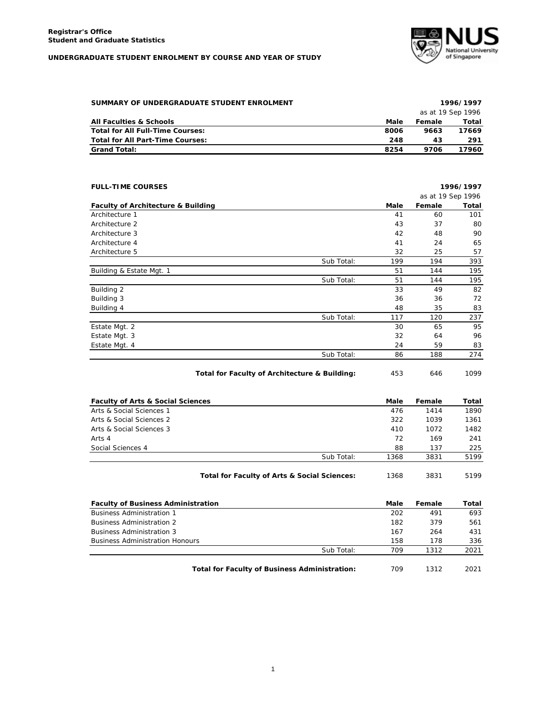## **UNDERGRADUATE STUDENT ENROLMENT BY COURSE AND YEAR OF STUDY**



| SUMMARY OF UNDERGRADUATE STUDENT ENROLMENT |      |        | 1996/1997         |
|--------------------------------------------|------|--------|-------------------|
|                                            |      |        | as at 19 Sep 1996 |
| <b>All Faculties &amp; Schools</b>         | Male | Female | Total             |
| Total for All Full-Time Courses:           | 8006 | 9663   | 17669             |
| Total for All Part-Time Courses:           | 248  | 43     | 291               |
| <b>Grand Total:</b>                        | 8254 | 9706   | 17960             |

| <b>FULL-TIME COURSES</b>                      |            |      |                   | 1996/1997 |
|-----------------------------------------------|------------|------|-------------------|-----------|
|                                               |            |      | as at 19 Sep 1996 |           |
| <b>Faculty of Architecture &amp; Building</b> |            | Male | Female            | Total     |
| Architecture 1                                |            | 41   | 60                | 101       |
| Architecture 2                                |            | 43   | 37                | 80        |
| Architecture 3                                |            | 42   | 48                | 90        |
| Architecture 4                                |            | 41   | 24                | 65        |
| Architecture 5                                |            | 32   | 25                | 57        |
|                                               | Sub Total: | 199  | 194               | 393       |
| Building & Estate Mgt. 1                      |            | 51   | 144               | 195       |
|                                               | Sub Total: | 51   | 144               | 195       |
| Building 2                                    |            | 33   | 49                | 82        |
| Building 3                                    |            | 36   | 36                | 72        |
| Building 4                                    |            | 48   | 35                | 83        |
|                                               | Sub Total: | 117  | 120               | 237       |
| Estate Mgt. 2                                 |            | 30   | 65                | 95        |
| Estate Mgt. 3                                 |            | 32   | 64                | 96        |
| Estate Mgt. 4                                 |            | 24   | 59                | 83        |
|                                               | Sub Total: | 86   | 188               | 274       |

Total for Faculty of Architecture & Building: 453 646 1099

| <b>Faculty of Arts &amp; Social Sciences</b> |                                              | Male | Female | Total |
|----------------------------------------------|----------------------------------------------|------|--------|-------|
| Arts & Social Sciences 1                     |                                              | 476  | 1414   | 1890  |
| Arts & Social Sciences 2                     |                                              | 322  | 1039   | 1361  |
| Arts & Social Sciences 3                     |                                              | 410  | 1072   | 1482  |
| Arts 4                                       |                                              | 72   | 169    | 241   |
| Social Sciences 4                            |                                              | 88   | 137    | 225   |
|                                              | Sub Total:                                   | 1368 | 3831   | 5199  |
|                                              | Total for Faculty of Arts & Social Sciences: | 1368 | 3831   | 5199  |

| <b>Faculty of Business Administration</b>            | Male | Female | Total |
|------------------------------------------------------|------|--------|-------|
| <b>Business Administration 1</b>                     | 202  | 491    | 693   |
| <b>Business Administration 2</b>                     | 182  | 379    | 561   |
| <b>Business Administration 3</b>                     | 167  | 264    | 431   |
| <b>Business Administration Honours</b>               | 158  | 178    | 336   |
| Sub Total:                                           | 709  | 1312   | 2021  |
| <b>Total for Faculty of Business Administration:</b> | 709  | 1312   | 2021  |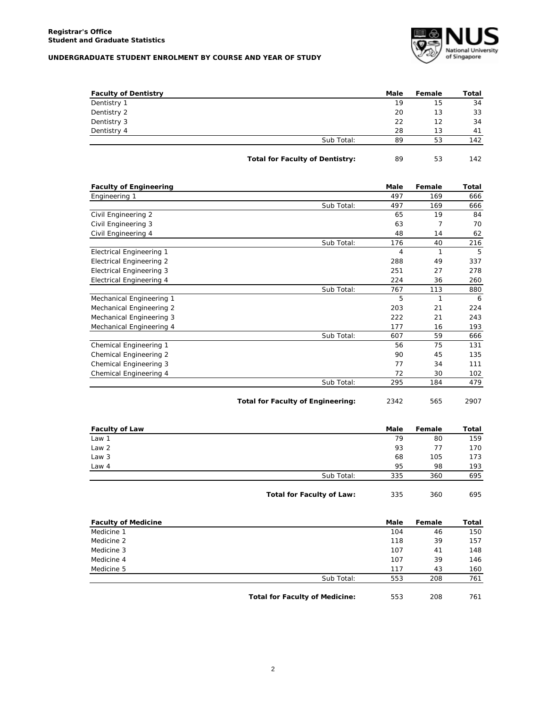## **UNDERGRADUATE STUDENT ENROLMENT BY COURSE AND YEAR OF STUDY**



| <b>Faculty of Dentistry</b> |                                        | Male | Female | Total |
|-----------------------------|----------------------------------------|------|--------|-------|
| Dentistry 1                 |                                        | 19   | 15     | 34    |
| Dentistry 2                 |                                        | 20   | 13     | 33    |
| Dentistry 3                 |                                        | 22   | 12     | 34    |
| Dentistry 4                 |                                        | 28   | 13     | 41    |
|                             | Sub Total:                             | 89   | 53     | 142   |
|                             | <b>Total for Faculty of Dentistry:</b> | 89   | 53     | 142   |

| <b>Faculty of Engineering</b>   |            | Male | Female       | Total |
|---------------------------------|------------|------|--------------|-------|
| Engineering 1                   |            | 497  | 169          | 666   |
|                                 | Sub Total: | 497  | 169          | 666   |
| Civil Engineering 2             |            | 65   | 19           | 84    |
| Civil Engineering 3             |            | 63   | 7            | 70    |
| Civil Engineering 4             |            | 48   | 14           | 62    |
|                                 | Sub Total: | 176  | 40           | 216   |
| <b>Electrical Engineering 1</b> |            | 4    | $\mathbf{1}$ | 5     |
| <b>Electrical Engineering 2</b> |            | 288  | 49           | 337   |
| <b>Electrical Engineering 3</b> |            | 251  | 27           | 278   |
| Electrical Engineering 4        |            | 224  | 36           | 260   |
|                                 | Sub Total: | 767  | 113          | 880   |
| Mechanical Engineering 1        |            | 5    | $\mathbf{1}$ | 6     |
| Mechanical Engineering 2        |            | 203  | 21           | 224   |
| Mechanical Engineering 3        |            | 222  | 21           | 243   |
| Mechanical Engineering 4        |            | 177  | 16           | 193   |
|                                 | Sub Total: | 607  | 59           | 666   |
| Chemical Engineering 1          |            | 56   | 75           | 131   |
| Chemical Engineering 2          |            | 90   | 45           | 135   |
| Chemical Engineering 3          |            | 77   | 34           | 111   |
| Chemical Engineering 4          |            | 72   | 30           | 102   |
|                                 | Sub Total: | 295  | 184          | 479   |

| 2342 | 565 | 2907 |
|------|-----|------|
|      |     |      |

| <b>Faculty of Law</b> |            | Male | Female | Total |
|-----------------------|------------|------|--------|-------|
| Law 1                 |            | 79   | 80     | 159   |
| Law 2                 |            | 93   | 77     | 170   |
| Law 3                 |            | 68   | 105    | 173   |
| Law $4$               |            | 95   | 98     | 193   |
|                       | Sub Total: | 335  | 360    | 695   |
|                       |            |      |        |       |

**Total for Faculty of Law:** 335 360 695

| <b>Faculty of Medicine</b> |            | Male | Female | Total |
|----------------------------|------------|------|--------|-------|
| Medicine 1                 |            | 104  | 46     | 150   |
| Medicine 2                 |            | 118  | 39     | 157   |
| Medicine 3                 |            | 107  | 41     | 148   |
| Medicine 4                 |            | 107  | 39     | 146   |
| Medicine 5                 |            | 117  | 43     | 160   |
|                            | Sub Total: | 553  | 208    | 761   |

**Total for Faculty of Medicine:** 553 208 761